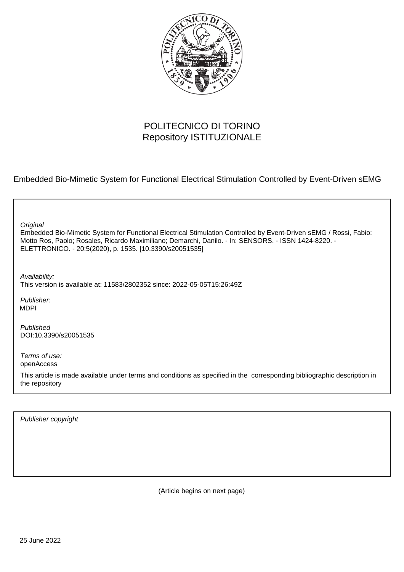

# POLITECNICO DI TORINO Repository ISTITUZIONALE

Embedded Bio-Mimetic System for Functional Electrical Stimulation Controlled by Event-Driven sEMG

| Original<br>Embedded Bio-Mimetic System for Functional Electrical Stimulation Controlled by Event-Driven sEMG / Rossi, Fabio;<br>Motto Ros, Paolo; Rosales, Ricardo Maximiliano; Demarchi, Danilo. - In: SENSORS. - ISSN 1424-8220. -<br>ELETTRONICO. - 20:5(2020), p. 1535. [10.3390/s20051535] |
|--------------------------------------------------------------------------------------------------------------------------------------------------------------------------------------------------------------------------------------------------------------------------------------------------|
| Availability:<br>This version is available at: 11583/2802352 since: 2022-05-05T15:26:49Z                                                                                                                                                                                                         |
| Publisher:<br><b>MDPI</b>                                                                                                                                                                                                                                                                        |
| Published<br>DOI:10.3390/s20051535                                                                                                                                                                                                                                                               |
| Terms of use:<br>openAccess                                                                                                                                                                                                                                                                      |
| This article is made available under terms and conditions as specified in the corresponding bibliographic description in<br>the repository                                                                                                                                                       |
|                                                                                                                                                                                                                                                                                                  |

Publisher copyright

(Article begins on next page)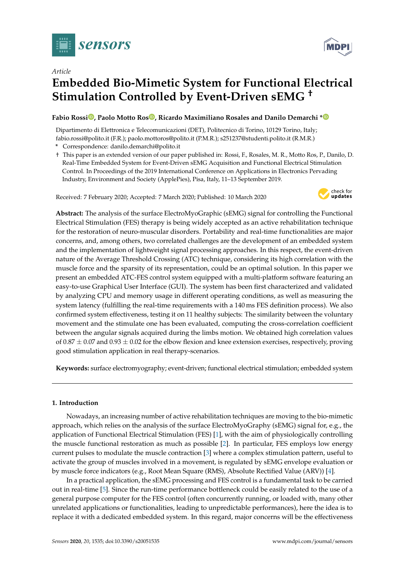

*Article*

# **Embedded Bio-Mimetic System for Functional Electrical Stimulation Controlled by Event-Driven sEMG †**

# **Fabio Rossi , Paolo Motto Ros , Ricardo Maximiliano Rosales and Danilo Demarchi \***

Dipartimento di Elettronica e Telecomunicazioni (DET), Politecnico di Torino, 10129 Torino, Italy; fabio.rossi@polito.it (F.R.); paolo.mottoros@polito.it (P.M.R.); s251237@studenti.polito.it (R.M.R.)

- **\*** Correspondence: danilo.demarchi@polito.it
- † This paper is an extended version of our paper published in: Rossi, F., Rosales, M. R., Motto Ros, P., Danilo, D. Real-Time Embedded System for Event-Driven sEMG Acquisition and Functional Electrical Stimulation Control. In Proceedings of the 2019 International Conference on Applications in Electronics Pervading Industry, Environment and Society (ApplePies), Pisa, Italy, 11–13 September 2019.

Received: 7 February 2020; Accepted: 7 March 2020; Published: 10 March 2020



**Abstract:** The analysis of the surface ElectroMyoGraphic (sEMG) signal for controlling the Functional Electrical Stimulation (FES) therapy is being widely accepted as an active rehabilitation technique for the restoration of neuro-muscular disorders. Portability and real-time functionalities are major concerns, and, among others, two correlated challenges are the development of an embedded system and the implementation of lightweight signal processing approaches. In this respect, the event-driven nature of the Average Threshold Crossing (ATC) technique, considering its high correlation with the muscle force and the sparsity of its representation, could be an optimal solution. In this paper we present an embedded ATC-FES control system equipped with a multi-platform software featuring an easy-to-use Graphical User Interface (GUI). The system has been first characterized and validated by analyzing CPU and memory usage in different operating conditions, as well as measuring the system latency (fulfilling the real-time requirements with a 140 ms FES definition process). We also confirmed system effectiveness, testing it on 11 healthy subjects: The similarity between the voluntary movement and the stimulate one has been evaluated, computing the cross-correlation coefficient between the angular signals acquired during the limbs motion. We obtained high correlation values of  $0.87 \pm 0.07$  and  $0.93 \pm 0.02$  for the elbow flexion and knee extension exercises, respectively, proving good stimulation application in real therapy-scenarios.

**Keywords:** surface electromyography; event-driven; functional electrical stimulation; embedded system

## **1. Introduction**

Nowadays, an increasing number of active rehabilitation techniques are moving to the bio-mimetic approach, which relies on the analysis of the surface ElectroMyoGraphy (sEMG) signal for, e.g., the application of Functional Electrical Stimulation (FES) [1], with the aim of physiologically controlling the muscle functional restoration as much as possible [2]. In particular, FES employs low energy current pulses to modulate the muscle contraction [3] where a complex stimulation pattern, useful to activate the group of muscles involved in a movement, is regulated by sEMG envelope evaluation or by muscle force indicators (e.g., Root Mean Square (RMS), Absolute Rectified Value (ARV)) [4].

In a practical application, the sEMG processing and FES control is a fundamental task to be carried out in real-time [5]. Since the run-time performance bottleneck could be easily related to the use of a general purpose computer for the FES control (often concurrently running, or loaded with, many other unrelated applications or functionalities, leading to unpredictable performances), here the idea is to replace it with a dedicated embedded system. In this regard, major concerns will be the effectiveness

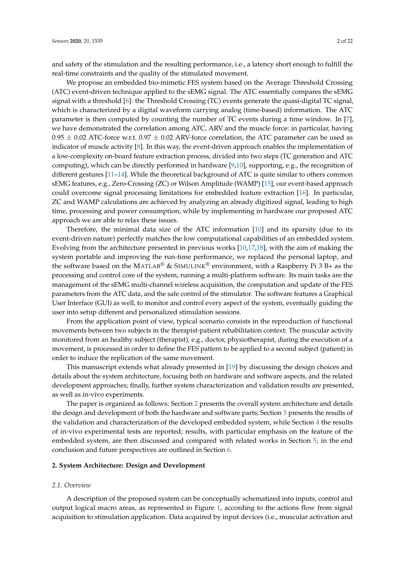and safety of the stimulation and the resulting performance, i.e., a latency short enough to fulfill the real-time constraints and the quality of the stimulated movement.

We propose an embedded bio-mimetic FES system based on the Average Threshold Crossing (ATC) event-driven technique applied to the sEMG signal. The ATC essentially compares the sEMG signal with a threshold [6]: the Threshold Crossing (TC) events generate the quasi-digital TC signal, which is characterized by a digital waveform carrying analog (time-based) information. The ATC parameter is then computed by counting the number of TC events during a time window. In [7], we have demonstrated the correlation among ATC, ARV and the muscle force: in particular, having  $0.95 \pm 0.02$  ATC-force w.r.t.  $0.97 \pm 0.02$  ARV-force correlation, the ATC parameter can be used as indicator of muscle activity [8]. In this way, the event-driven approach enables the implementation of a low-complexity on-board feature extraction process, divided into two steps (TC generation and ATC computing), which can be directly performed in hardware [9,10], supporting, e.g., the recognition of different gestures [11–14]. While the theoretical background of ATC is quite similar to others common sEMG features, e.g., Zero-Crossing (ZC) or Wilson Amplitude (WAMP) [15], our event-based approach could overcome signal processing limitations for embedded feature extraction [16]. In particular, ZC and WAMP calculations are achieved by analyzing an already digitized signal, leading to high time, processing and power consumption, while by implementing in hardware our proposed ATC approach we are able to relax these issues.

Therefore, the minimal data size of the ATC information  $[10]$  and its sparsity (due to its event-driven nature) perfectly matches the low computational capabilities of an embedded system. Evolving from the architecture presented in previous works [10,17,18], with the aim of making the system portable and improving the run-time performance, we replaced the personal laptop, and the software based on the MATLAB<sup>®</sup> & SIMULINK<sup>®</sup> environment, with a Raspberry Pi 3 B+ as the processing and control core of the system, running a multi-platform software. Its main tasks are the management of the sEMG multi-channel wireless acquisition, the computation and update of the FES parameters from the ATC data, and the safe control of the stimulator. The software features a Graphical User Interface (GUI) as well, to monitor and control every aspect of the system, eventually guiding the user into setup different and personalized stimulation sessions.

From the application point of view, typical scenario consists in the reproduction of functional movements between two subjects in the therapist-patient rehabilitation context: The muscular activity monitored from an healthy subject (therapist), e.g., doctor, physiotherapist, during the execution of a movement, is processed in order to define the FES pattern to be applied to a second subject (patient) in order to induce the replication of the same movement.

This manuscript extends what already presented in [19] by discussing the design choices and details about the system architecture, focusing both on hardware and software aspects, and the related development approaches; finally, further system characterization and validation results are presented, as well as in-vivo experiments.

The paper is organized as follows: Section 2 presents the overall system architecture and details the design and development of both the hardware and software parts; Section 3 presents the results of the validation and characterization of the developed embedded system, while Section 4 the results of in-vivo experimental tests are reported; results, with particular emphasis on the feature of the embedded system, are then discussed and compared with related works in Section 5; in the end conclusion and future perspectives are outlined in Section 6.

#### **2. System Architecture: Design and Development**

#### *2.1. Overview*

A description of the proposed system can be conceptually schematized into inputs, control and output logical macro areas, as represented in Figure 1, according to the actions flow from signal acquisition to stimulation application. Data acquired by input devices (i.e., muscular activation and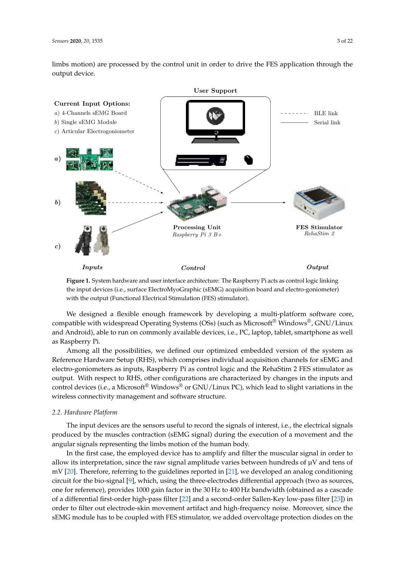limbs motion) are processed by the control unit in order to drive the FES application through the output device.



**Figure 1.** System hardware and user interface architecture: The Raspberry Pi acts as control logic linking the input devices (i.e., surface ElectroMyoGraphic (sEMG) acquisition board and electro-goniometer) with the output (Functional Electrical Stimulation (FES) stimulator).

We designed a flexible enough framework by developing a multi-platform software core, compatible with widespread Operating Systems (OSs) (such as Microsoft® Windows®, GNU/Linux and Android), able to run on commonly available devices, i.e., PC, laptop, tablet, smartphone as well as Raspberry Pi.

Among all the possibilities, we defined our optimized embedded version of the system as Reference Hardware Setup (RHS), which comprises individual acquisition channels for sEMG and electro-goniometers as inputs, Raspberry Pi as control logic and the RehaStim 2 FES stimulator as output. With respect to RHS, other configurations are characterized by changes in the inputs and control devices (i.e., a Microsoft® Windows® or GNU/Linux PC), which lead to slight variations in the wireless connectivity management and software structure.

#### *2.2. Hardware Platform*

The input devices are the sensors useful to record the signals of interest, i.e., the electrical signals produced by the muscles contraction (sEMG signal) during the execution of a movement and the angular signals representing the limbs motion of the human body.

In the first case, the employed device has to amplify and filter the muscular signal in order to allow its interpretation, since the raw signal amplitude varies between hundreds of  $\mu$ V and tens of mV [20]. Therefore, referring to the guidelines reported in [21], we developed an analog conditioning circuit for the bio-signal [9], which, using the three-electrodes differential approach (two as sources, one for reference), provides 1000 gain factor in the 30 Hz to 400 Hz bandwidth (obtained as a cascade of a differential first-order high-pass filter [22] and a second-order Sallen-Key low-pass filter [23]) in order to filter out electrode-skin movement artifact and high-frequency noise. Moreover, since the sEMG module has to be coupled with FES stimulator, we added overvoltage protection diodes on the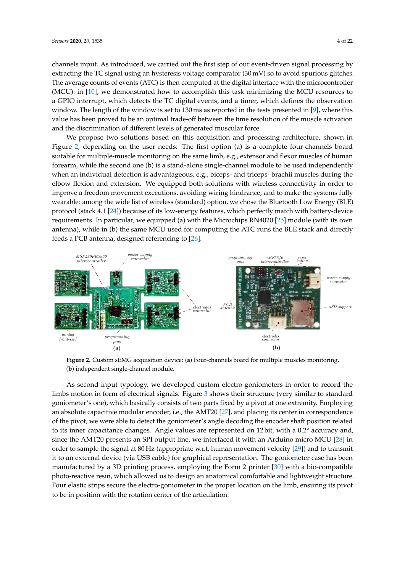channels input. As introduced, we carried out the first step of our event-driven signal processing by extracting the TC signal using an hysteresis voltage comparator (30 mV) so to avoid spurious glitches. The average counts of events (ATC) is then computed at the digital interface with the microcontroller (MCU): in [10], we demonstrated how to accomplish this task minimizing the MCU resources to a GPIO interrupt, which detects the TC digital events, and a timer, which defines the observation window. The length of the window is set to 130 ms as reported in the tests presented in [9], where this value has been proved to be an optimal trade-off between the time resolution of the muscle activation and the discrimination of different levels of generated muscular force.

We propose two solutions based on this acquisition and processing architecture, shown in Figure 2, depending on the user needs: The first option (a) is a complete four-channels board suitable for multiple-muscle monitoring on the same limb, e.g., extensor and flexor muscles of human forearm, while the second one (b) is a stand-alone single-channel module to be used independently when an individual detection is advantageous, e.g., biceps- and triceps- brachii muscles during the elbow flexion and extension. We equipped both solutions with wireless connectivity in order to improve a freedom movement executions, avoiding wiring hindrance, and to make the systems fully wearable: among the wide list of wireless (standard) option, we chose the Bluetooth Low Energy (BLE) protocol (stack 4.1 [24]) because of its low-energy features, which perfectly match with battery-device requirements. In particular, we equipped (a) with the Microchips RN4020 [25] module (with its own antenna), while in (b) the same MCU used for computing the ATC runs the BLE stack and directly feeds a PCB antenna, designed referencing to [26].



**Figure 2.** Custom sEMG acquisition device: (**a**) Four-channels board for multiple muscles monitoring, (**b**) independent single-channel module.

As second input typology, we developed custom electro-goniometers in order to record the limbs motion in form of electrical signals. Figure 3 shows their structure (very similar to standard goniometer's one), which basically consists of two parts fixed by a pivot at one extremity. Employing an absolute capacitive modular encoder, i.e., the AMT20 [27], and placing its center in correspondence of the pivot, we were able to detect the goniometer's angle decoding the encoder shaft position related to its inner capacitance changes. Angle values are represented on 12 bit, with a 0.2° accuracy and, since the AMT20 presents an SPI output line, we interfaced it with an Arduino micro MCU [28] in order to sample the signal at 80 Hz (appropriate w.r.t. human movement velocity [29]) and to transmit it to an external device (via USB cable) for graphical representation. The goniometer case has been manufactured by a 3D printing process, employing the Form 2 printer [30] with a bio-compatible photo-reactive resin, which allowed us to design an anatomical comfortable and lightweight structure. Four elastic strips secure the electro-goniometer in the proper location on the limb, ensuring its pivot to be in position with the rotation center of the articulation.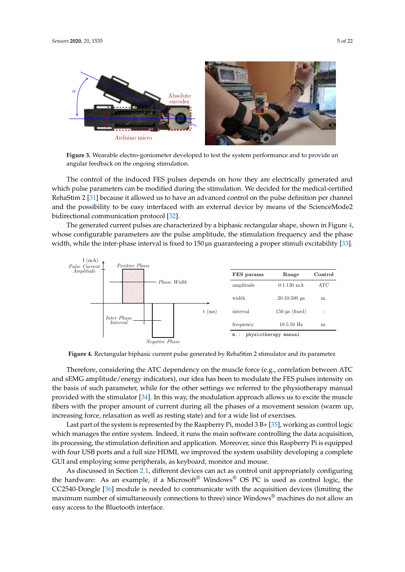



**Figure 3.** Wearable electro-goniometer developed to test the system performance and to provide an angular feedback on the ongoing stimulation.

The control of the induced FES pulses depends on how they are electrically generated and which pulse parameters can be modified during the stimulation. We decided for the medical-certified RehaStim 2 [31] because it allowed us to have an advanced control on the pulse definition per channel and the possibility to be easy interfaced with an external device by means of the ScienceMode2 bidirectional communication protocol [32].

The generated current pulses are characterized by a biphasic rectangular shape, shown in Figure 4, whose configurable parameters are the pulse amplitude, the stimulation frequency and the phase width, while the inter-phase interval is fixed to 150 us guaranteeing a proper stimuli excitability [33].



**Figure 4.** Rectangular biphasic current pulse generated by RehaStim 2 stimulator and its parameter.

Therefore, considering the ATC dependency on the muscle force (e.g., correlation between ATC and sEMG amplitude/energy indicators), our idea has been to modulate the FES pulses intensity on the basis of such parameter, while for the other settings we referred to the physiotherapy manual provided with the stimulator [34]. In this way, the modulation approach allows us to excite the muscle fibers with the proper amount of current during all the phases of a movement session (warm up, increasing force, relaxation as well as resting state) and for a wide list of exercises.

Last part of the system is represented by the Raspberry Pi, model 3 B+ [35], working as control logic which manages the entire system. Indeed, it runs the main software controlling the data acquisition, its processing, the stimulation definition and application. Moreover, since this Raspberry Pi is equipped with four USB ports and a full size HDMI, we improved the system usability developing a complete GUI and employing some peripherals, as keyboard, monitor and mouse.

As discussed in Section 2.1, different devices can act as control unit appropriately configuring the hardware: As an example, if a Microsoft® Windows® OS PC is used as control logic, the CC2540-Dongle [36] module is needed to communicate with the acquisition devices (limiting the maximum number of simultaneously connections to three) since Windows® machines do not allow an easy access to the Bluetooth interface.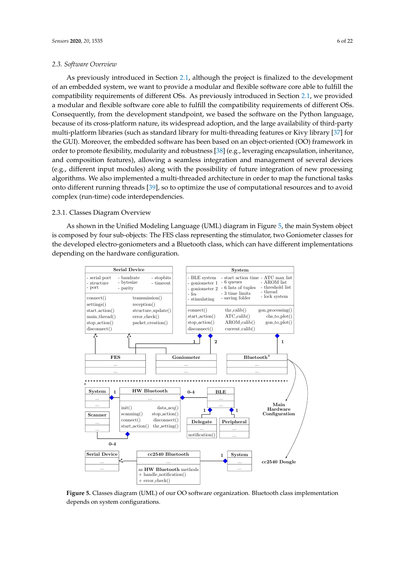#### *2.3. Software Overview*

As previously introduced in Section 2.1, although the project is finalized to the development of an embedded system, we want to provide a modular and flexible software core able to fulfill the compatibility requirements of different OSs. As previously introduced in Section 2.1, we provided a modular and flexible software core able to fulfill the compatibility requirements of different OSs. Consequently, from the development standpoint, we based the software on the Python language, because of its cross-platform nature, its widespread adoption, and the large availability of third-party multi-platform libraries (such as standard library for multi-threading features or Kivy library [37] for the GUI). Moreover, the embedded software has been based on an object-oriented (OO) framework in order to promote flexibility, modularity and robustness [38] (e.g., leveraging encapsulation, inheritance, and composition features), allowing a seamless integration and management of several devices (e.g., different input modules) along with the possibility of future integration of new processing algorithms. We also implemented a multi-threaded architecture in order to map the functional tasks onto different running threads [39], so to optimize the use of computational resources and to avoid complex (run-time) code interdependencies.

#### 2.3.1. Classes Diagram Overview

As shown in the Unified Modeling Language (UML) diagram in Figure 5, the main System object is composed by four sub-objects: The FES class representing the stimulator, two Goniometer classes for the developed electro-goniometers and a Bluetooth class, which can have different implementations depending on the hardware configuration.



**Figure 5.** Classes diagram (UML) of our OO software organization. Bluetooth class implementation depends on system configurations.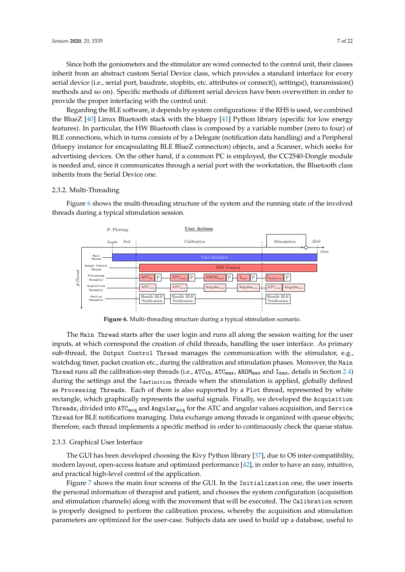Since both the goniometers and the stimulator are wired connected to the control unit, their classes inherit from an abstract custom Serial Device class, which provides a standard interface for every serial device (i.e., serial port, baudrate, stopbits, etc. attributes or connect(), settings(), transmission()

provide the proper interfacing with the control unit. Regarding the BLE software, it depends by system configurations: if the RHS is used, we combined the BlueZ [40] Linux Bluetooth stack with the bluepy [41] Python library (specific for low energy features). In particular, the HW Bluetooth class is composed by a variable number (zero to four) of BLE connections, which in turns consists of by a Delegate (notification data handling) and a Peripheral (bluepy instance for encapsulating BLE BlueZ connection) objects, and a Scanner, which seeks for advertising devices. On the other hand, if a common PC is employed, the CC2540-Dongle module is needed and, since it communicates through a serial port with the workstation, the Bluetooth class inherits from the Serial Device one.

methods and so on). Specific methods of different serial devices have been overwritten in order to

#### 2.3.2. Multi-Threading

Figure 6 shows the multi-threading structure of the system and the running state of the involved threads during a typical stimulation session.



**Figure 6.** Multi-threading structure during a typical stimulation scenario.

The Main Thread starts after the user login and runs all along the session waiting for the user inputs, at which correspond the creation of child threads, handling the user interface. As primary sub-thread, the Output Control Thread manages the communication with the stimulator, e.g., watchdog timer, packet creation etc., during the calibration and stimulation phases. Moreover, the Main Thread runs all the calibration-step threads (i.e.,  $\text{ATC}_{\text{th}}$ ,  $\text{ATC}_{\text{max}}$ ,  $\text{AROM}_{\text{max}}$ , and  $\text{I}_{\text{max}}$ , details in Section 2.4) during the settings and the I<sub>definition</sub> threads when the stimulation is applied, globally defined as Processing Threads. Each of them is also supported by a Plot thread, represented by white rectangle, which graphically represents the useful signals. Finally, we developed the Acquisition Threads, divided into  $ATC_{acq}$  and  $Angular_{acq}$  for the ATC and angular values acquisition, and Service Thread for BLE notifications managing. Data exchange among threads is organized with queue objects; therefore, each thread implements a specific method in order to continuously check the queue status.

#### 2.3.3. Graphical User Interface

The GUI has been developed choosing the Kivy Python library [37], due to OS inter-compatibility, modern layout, open-access feature and optimized performance [42], in order to have an easy, intuitive, and practical high-level control of the application.

Figure 7 shows the main four screens of the GUI. In the Initialization one, the user inserts the personal information of therapist and patient, and chooses the system configuration (acquisition and stimulation channels) along with the movement that will be executed. The Calibration screen is properly designed to perform the calibration process, whereby the acquisition and stimulation parameters are optimized for the user-case. Subjects data are used to build up a database, useful to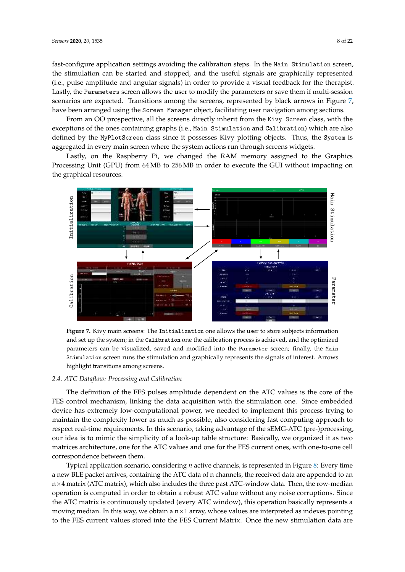fast-configure application settings avoiding the calibration steps. In the Main Stimulation screen, the stimulation can be started and stopped, and the useful signals are graphically represented (i.e., pulse amplitude and angular signals) in order to provide a visual feedback for the therapist. Lastly, the Parameters screen allows the user to modify the parameters or save them if multi-session scenarios are expected. Transitions among the screens, represented by black arrows in Figure 7, have been arranged using the Screen Manager object, facilitating user navigation among sections.

From an OO prospective, all the screens directly inherit from the Kivy Screen class, with the exceptions of the ones containing graphs (i.e., Main Stimulation and Calibration) which are also defined by the MyPlotScreen class since it possesses Kivy plotting objects. Thus, the System is aggregated in every main screen where the system actions run through screens widgets.

Lastly, on the Raspberry Pi, we changed the RAM memory assigned to the Graphics Processing Unit (GPU) from 64 MB to 256 MB in order to execute the GUI without impacting on the graphical resources.



**Figure 7.** Kivy main screens: The Initialization one allows the user to store subjects information and set up the system; in the Calibration one the calibration process is achieved, and the optimized parameters can be visualized, saved and modified into the Parameter screen; finally, the Main Stimulation screen runs the stimulation and graphically represents the signals of interest. Arrows highlight transitions among screens.

#### *2.4. ATC Dataflow: Processing and Calibration*

The definition of the FES pulses amplitude dependent on the ATC values is the core of the FES control mechanism, linking the data acquisition with the stimulation one. Since embedded device has extremely low-computational power, we needed to implement this process trying to maintain the complexity lower as much as possible, also considering fast computing approach to respect real-time requirements. In this scenario, taking advantage of the sEMG-ATC (pre-)processing, our idea is to mimic the simplicity of a look-up table structure: Basically, we organized it as two matrices architecture, one for the ATC values and one for the FES current ones, with one-to-one cell correspondence between them.

Typical application scenario, considering *n* active channels, is represented in Figure 8: Every time a new BLE packet arrives, containing the ATC data of n channels, the received data are appended to an  $n\times4$  matrix (ATC matrix), which also includes the three past ATC-window data. Then, the row-median operation is computed in order to obtain a robust ATC value without any noise corruptions. Since the ATC matrix is continuously updated (every ATC window), this operation basically represents a moving median. In this way, we obtain a  $n \times 1$  array, whose values are interpreted as indexes pointing to the FES current values stored into the FES Current Matrix. Once the new stimulation data are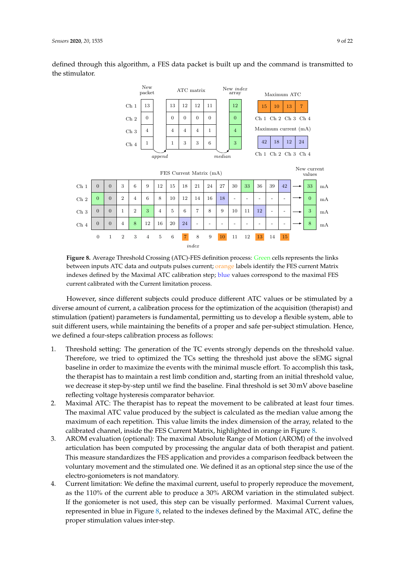defined through this algorithm, a FES data packet is built up and the command is transmitted to the stimulator.



Figure 8. Average Threshold Crossing (ATC)-FES definition process: Green cells represents the links between inputs ATC data and outputs pulses current; orange labels identify the FES current Matrix indexes defined by the Maximal ATC calibration step; blue values correspond to the maximal FES current calibrated with the Current limitation process.

However, since different subjects could produce different ATC values or be stimulated by a diverse amount of current, a calibration process for the optimization of the acquisition (therapist) and stimulation (patient) parameters is fundamental, permitting us to develop a flexible system, able to suit different users, while maintaining the benefits of a proper and safe per-subject stimulation. Hence, we defined a four-steps calibration process as follows:

- 1. Threshold setting: The generation of the TC events strongly depends on the threshold value. Therefore, we tried to optimized the TCs setting the threshold just above the sEMG signal baseline in order to maximize the events with the minimal muscle effort. To accomplish this task, the therapist has to maintain a rest limb condition and, starting from an initial threshold value, we decrease it step-by-step until we find the baseline. Final threshold is set 30 mV above baseline reflecting voltage hysteresis comparator behavior.
- 2. Maximal ATC: The therapist has to repeat the movement to be calibrated at least four times. The maximal ATC value produced by the subject is calculated as the median value among the maximum of each repetition. This value limits the index dimension of the array, related to the calibrated channel, inside the FES Current Matrix, highlighted in orange in Figure 8.
- 3. AROM evaluation (optional): The maximal Absolute Range of Motion (AROM) of the involved articulation has been computed by processing the angular data of both therapist and patient. This measure standardizes the FES application and provides a comparison feedback between the voluntary movement and the stimulated one. We defined it as an optional step since the use of the electro-goniometers is not mandatory.
- 4. Current limitation: We define the maximal current, useful to properly reproduce the movement, as the 110% of the current able to produce a 30% AROM variation in the stimulated subject. If the goniometer is not used, this step can be visually performed. Maximal Current values, represented in blue in Figure 8, related to the indexes defined by the Maximal ATC, define the proper stimulation values inter-step.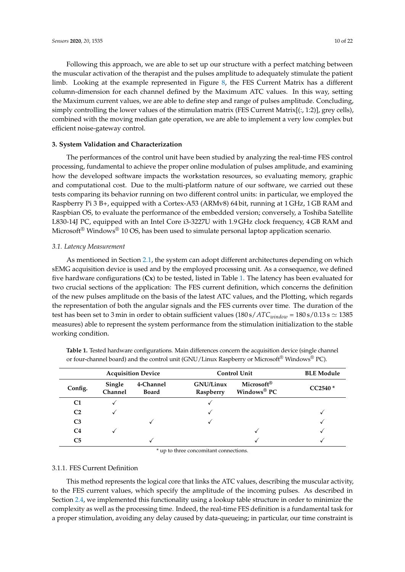Following this approach, we are able to set up our structure with a perfect matching between the muscular activation of the therapist and the pulses amplitude to adequately stimulate the patient limb. Looking at the example represented in Figure 8, the FES Current Matrix has a different column-dimension for each channel defined by the Maximum ATC values. In this way, setting the Maximum current values, we are able to define step and range of pulses amplitude. Concluding, simply controlling the lower values of the stimulation matrix (FES Current Matrix $[(:, 1:2)],$  grey cells), combined with the moving median gate operation, we are able to implement a very low complex but efficient noise-gateway control.

#### **3. System Validation and Characterization**

The performances of the control unit have been studied by analyzing the real-time FES control processing, fundamental to achieve the proper online modulation of pulses amplitude, and examining how the developed software impacts the workstation resources, so evaluating memory, graphic and computational cost. Due to the multi-platform nature of our software, we carried out these tests comparing its behavior running on two different control units: in particular, we employed the Raspberry Pi 3 B+, equipped with a Cortex-A53 (ARMv8) 64 bit, running at 1 GHz, 1 GB RAM and Raspbian OS, to evaluate the performance of the embedded version; conversely, a Toshiba Satellite L830-14J PC, equipped with an Intel Core i3-3227U with 1.9 GHz clock frequency, 4 GB RAM and Microsoft® Windows® 10 OS, has been used to simulate personal laptop application scenario.

#### *3.1. Latency Measurement*

As mentioned in Section 2.1, the system can adopt different architectures depending on which sEMG acquisition device is used and by the employed processing unit. As a consequence, we defined five hardware configurations (**Cx**) to be tested, listed in Table 1. The latency has been evaluated for two crucial sections of the application: The FES current definition, which concerns the definition of the new pulses amplitude on the basis of the latest ATC values, and the Plotting, which regards the representation of both the angular signals and the FES currents over time. The duration of the test has been set to 3 min in order to obtain sufficient values (180 s/*ATCwindow* <sup>=</sup> 180 s/0.13 s ≃ <sup>1385</sup> measures) able to represent the system performance from the stimulation initialization to the stable working condition.

|                |                   | <b>Acquisition Device</b> | <b>Control Unit</b>    | <b>BLE Module</b>                                 |  |
|----------------|-------------------|---------------------------|------------------------|---------------------------------------------------|--|
| Config.        | Single<br>Channel | 4-Channel<br><b>Board</b> | GNU/Linux<br>Raspberry | Microsoft <sup>®</sup><br>Windows <sup>®</sup> PC |  |
| C1             |                   |                           |                        |                                                   |  |
| C <sub>2</sub> |                   |                           |                        |                                                   |  |
| C <sub>3</sub> |                   |                           |                        |                                                   |  |
| C <sub>4</sub> |                   |                           |                        |                                                   |  |
| C <sub>5</sub> |                   |                           |                        |                                                   |  |

**Table 1.** Tested hardware configurations. Main differences concern the acquisition device (single channel or four-channel board) and the control unit (GNU/Linux Raspberry or Microsoft® Windows® PC).

\* up to three concomitant connections.

#### 3.1.1. FES Current Definition

This method represents the logical core that links the ATC values, describing the muscular activity, to the FES current values, which specify the amplitude of the incoming pulses. As described in Section 2.4, we implemented this functionality using a lookup table structure in order to minimize the complexity as well as the processing time. Indeed, the real-time FES definition is a fundamental task for a proper stimulation, avoiding any delay caused by data-queueing; in particular, our time constraint is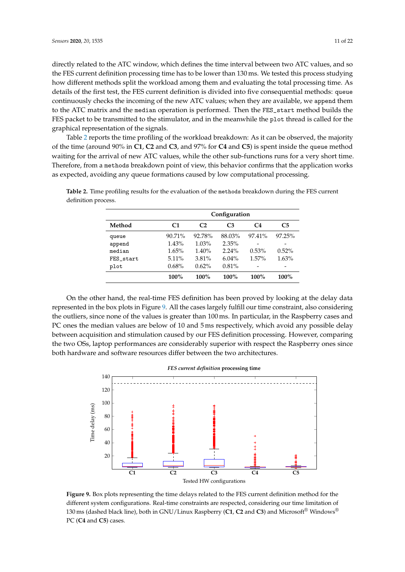directly related to the ATC window, which defines the time interval between two ATC values, and so the FES current definition processing time has to be lower than 130 ms. We tested this process studying how different methods split the workload among them and evaluating the total processing time. As details of the first test, the FES current definition is divided into five consequential methods: queue continuously checks the incoming of the new ATC values; when they are available, we append them to the ATC matrix and the median operation is performed. Then the FES\_start method builds the FES packet to be transmitted to the stimulator, and in the meanwhile the plot thread is called for the graphical representation of the signals.

Table 2 reports the time profiling of the workload breakdown: As it can be observed, the majority of the time (around 90% in **C1**, **C2** and **C3**, and 97% for **C4** and **C5**) is spent inside the queue method waiting for the arrival of new ATC values, while the other sub-functions runs for a very short time. Therefore, from a methods breakdown point of view, this behavior confirms that the application works as expected, avoiding any queue formations caused by low computational processing.

|           | Configuration  |                |          |                |           |  |  |
|-----------|----------------|----------------|----------|----------------|-----------|--|--|
| Method    | C <sub>1</sub> | C <sub>2</sub> | C3       | C <sub>4</sub> | C5        |  |  |
| queue     | 90.71%         | 92.78%         | 88.03%   | 97.41%         | $97.25\%$ |  |  |
| append    | $1.43\%$       | $1.03\%$       | 2.35%    |                |           |  |  |
| median    | 1.65%          | $1.40\%$       | $2.24\%$ | 0.53%          | 0.52%     |  |  |
| FES_start | $5.11\%$       | 3.81%          | $6.04\%$ | $1.57\%$       | 1.63%     |  |  |
| plot      | 0.68%          | 0.62%          | 0.81%    |                |           |  |  |
|           | $100\%$        | $100\%$        | $100\%$  | $100\%$        | $100\%$   |  |  |

**Table 2.** Time profiling results for the evaluation of the methods breakdown during the FES current definition process.

On the other hand, the real-time FES definition has been proved by looking at the delay data represented in the box plots in Figure 9. All the cases largely fulfill our time constraint, also considering the outliers, since none of the values is greater than 100 ms. In particular, in the Raspberry cases and PC ones the median values are below of 10 and 5 ms respectively, which avoid any possible delay between acquisition and stimulation caused by our FES definition processing. However, comparing the two OSs, laptop performances are considerably superior with respect the Raspberry ones since both hardware and software resources differ between the two architectures.



**Figure 9.** Box plots representing the time delays related to the FES current definition method for the different system configurations. Real-time constraints are respected, considering our time limitation of 130 ms (dashed black line), both in GNU/Linux Raspberry (**C1**, **C2** and **C3**) and Microsoft® Windows® PC (**C4** and **C5**) cases.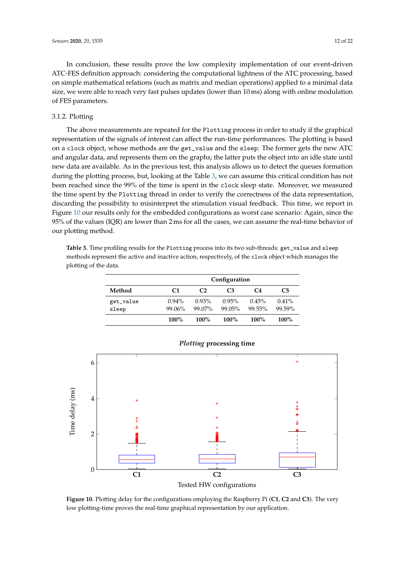In conclusion, these results prove the low complexity implementation of our event-driven ATC-FES definition approach: considering the computational lightness of the ATC processing, based on simple mathematical relations (such as matrix and median operations) applied to a minimal data size, we were able to reach very fast pulses updates (lower than 10 ms) along with online modulation of FES parameters.

#### 3.1.2. Plotting

The above measurements are repeated for the Plotting process in order to study if the graphical representation of the signals of interest can affect the run-time performances. The plotting is based on a clock object, whose methods are the get\_value and the sleep: The former gets the new ATC and angular data, and represents them on the graphs; the latter puts the object into an idle state until new data are available. As in the previous test, this analysis allows us to detect the queues formation during the plotting process, but, looking at the Table 3, we can assume this critical condition has not been reached since the 99% of the time is spent in the clock sleep state. Moreover, we measured the time spent by the Plotting thread in order to verify the correctness of the data representation, discarding the possibility to misinterpret the stimulation visual feedback. This time, we report in Figure 10 our results only for the embedded configurations as worst case scenario: Again, since the 95% of the values (IQR) are lower than 2 ms for all the cases, we can assume the real-time behavior of our plotting method.

Table 3. Time profiling results for the Plotting process into its two sub-threads: get\_value and sleep methods represent the active and inactive action, respectively, of the clock object which manages the plotting of the data.

|           | Configuration     |                   |                   |                 |                    |  |
|-----------|-------------------|-------------------|-------------------|-----------------|--------------------|--|
| Method    | C <sub>1</sub>    | C2                | C <sub>3</sub>    | C4              | C5                 |  |
| get_value | $0.94\%$          | $0.93\%$          | $0.95\%$          | 0.45%<br>99.55% | $0.41\%$<br>99.59% |  |
| sleep     | 99.06%<br>$100\%$ | 99.07%<br>$100\%$ | 99.05%<br>$100\%$ | $100\%$         | $100\%$            |  |
|           |                   |                   |                   |                 |                    |  |



#### *Plotting* **processing time**

**Figure 10.** Plotting delay for the configurations employing the Raspberry Pi (**C1**, **C2** and **C3**). The very low plotting-time proves the real-time graphical representation by our application.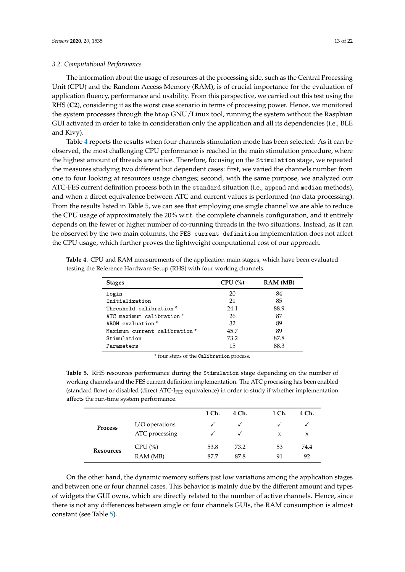#### *3.2. Computational Performance*

The information about the usage of resources at the processing side, such as the Central Processing Unit (CPU) and the Random Access Memory (RAM), is of crucial importance for the evaluation of application fluency, performance and usability. From this perspective, we carried out this test using the RHS (**C2**), considering it as the worst case scenario in terms of processing power. Hence, we monitored the system processes through the htop GNU/Linux tool, running the system without the Raspbian GUI activated in order to take in consideration only the application and all its dependencies (i.e., BLE and Kivy).

Table 4 reports the results when four channels stimulation mode has been selected: As it can be observed, the most challenging CPU performance is reached in the main stimulation procedure, where the highest amount of threads are active. Therefore, focusing on the Stimulation stage, we repeated the measures studying two different but dependent cases: first, we varied the channels number from one to four looking at resources usage changes; second, with the same purpose, we analyzed our ATC-FES current definition process both in the standard situation (i.e., append and median methods), and when a direct equivalence between ATC and current values is performed (no data processing). From the results listed in Table 5, we can see that employing one single channel we are able to reduce the CPU usage of approximately the 20% w.r.t. the complete channels configuration, and it entirely depends on the fewer or higher number of co-running threads in the two situations. Instead, as it can be observed by the two main columns, the FES current definition implementation does not affect the CPU usage, which further proves the lightweight computational cost of our approach.

| <b>Stages</b>                | CPU (%) | RAM (MB) |
|------------------------------|---------|----------|
| Login                        | 20      | 84       |
| Initialization               | 21      | 85       |
| Threshold calibration*       | 24.1    | 88.9     |
| ATC maximum calibration*     | 26      | 87       |
| AROM evaluation <sup>*</sup> | 32      | 89       |
| Maximum current calibration* | 45.7    | 89       |
| Stimulation                  | 73.2    | 87.8     |
| Parameters                   | 15      | 88.3     |

**Table 4.** CPU and RAM measurements of the application main stages, which have been evaluated testing the Reference Hardware Setup (RHS) with four working channels.

\* four steps of the Calibration process.

**Table 5.** RHS resources performance during the Stimulation stage depending on the number of working channels and the FES current definition implementation. The ATC processing has been enabled (standard flow) or disabled (direct ATC-I<sub>FES</sub> equivalence) in order to study if whether implementation affects the run-time system performance.

|                  |                  | 1 Ch. | 4 Ch. | 1 Ch. | 4 Ch.        |
|------------------|------------------|-------|-------|-------|--------------|
| <b>Process</b>   | $I/O$ operations |       |       |       |              |
|                  | ATC processing   |       |       | x     | $\mathbf{x}$ |
| <b>Resources</b> | CPU (%)          | 53.8  | 73.2  | 53    | 74.4         |
|                  | RAM (MB)         | 877   | 87.8  | 91    | 92           |

On the other hand, the dynamic memory suffers just low variations among the application stages and between one or four channel cases. This behavior is mainly due by the different amount and types of widgets the GUI owns, which are directly related to the number of active channels. Hence, since there is not any differences between single or four channels GUIs, the RAM consumption is almost constant (see Table 5).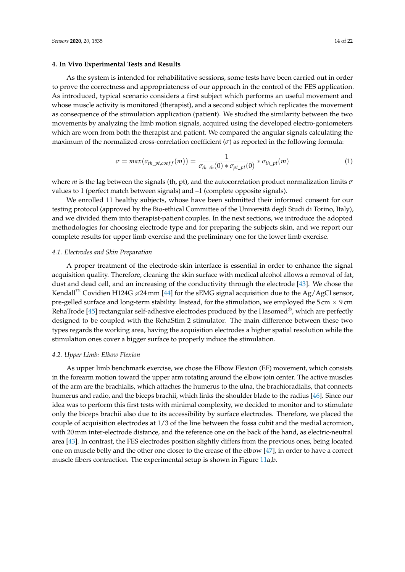#### **4. In Vivo Experimental Tests and Results**

As the system is intended for rehabilitative sessions, some tests have been carried out in order to prove the correctness and appropriateness of our approach in the control of the FES application. As introduced, typical scenario considers a first subject which performs an useful movement and whose muscle activity is monitored (therapist), and a second subject which replicates the movement as consequence of the stimulation application (patient). We studied the similarity between the two movements by analyzing the limb motion signals, acquired using the developed electro-goniometers which are worn from both the therapist and patient. We compared the angular signals calculating the maximum of the normalized cross-correlation coefficient  $(\sigma)$  as reported in the following formula:

$$
\sigma = max(\sigma_{th\_pt,coeff}(m)) = \frac{1}{\sigma_{th\_th}(0) * \sigma_{pt\_pt}(0)} * \sigma_{th\_pt}(m)
$$
\n(1)

where *m* is the lag between the signals (th, pt), and the autocorrelation product normalization limits *σ* values to 1 (perfect match between signals) and –1 (complete opposite signals).

We enrolled 11 healthy subjects, whose have been submitted their informed consent for our testing protocol (approved by the Bio-ethical Committee of the Università degli Studi di Torino, Italy), and we divided them into therapist-patient couples. In the next sections, we introduce the adopted methodologies for choosing electrode type and for preparing the subjects skin, and we report our complete results for upper limb exercise and the preliminary one for the lower limb exercise.

#### *4.1. Electrodes and Skin Preparation*

A proper treatment of the electrode-skin interface is essential in order to enhance the signal acquisition quality. Therefore, cleaning the skin surface with medical alcohol allows a removal of fat, dust and dead cell, and an increasing of the conductivity through the electrode [43]. We chose the Kendall<sup>™</sup> Covidien H124G  $\beta$ 24 mm [44] for the sEMG signal acquisition due to the Ag/AgCl sensor, pre-gelled surface and long-term stability. Instead, for the stimulation, we employed the  $5 \text{ cm} \times 9 \text{ cm}$ RehaTrode [45] rectangular self-adhesive electrodes produced by the Hasomed<sup>®</sup>, which are perfectly designed to be coupled with the RehaStim 2 stimulator. The main difference between these two types regards the working area, having the acquisition electrodes a higher spatial resolution while the stimulation ones cover a bigger surface to properly induce the stimulation.

#### *4.2. Upper Limb: Elbow Flexion*

As upper limb benchmark exercise, we chose the Elbow Flexion (EF) movement, which consists in the forearm motion toward the upper arm rotating around the elbow join center. The active muscles of the arm are the brachialis, which attaches the humerus to the ulna, the brachioradialis, that connects humerus and radio, and the biceps brachii, which links the shoulder blade to the radius [46]. Since our idea was to perform this first tests with minimal complexity, we decided to monitor and to stimulate only the biceps brachii also due to its accessibility by surface electrodes. Therefore, we placed the couple of acquisition electrodes at 1/3 of the line between the fossa cubit and the medial acromion, with 20 mm inter-electrode distance, and the reference one on the back of the hand, as electric-neutral area [43]. In contrast, the FES electrodes position slightly differs from the previous ones, being located one on muscle belly and the other one closer to the crease of the elbow [47], in order to have a correct muscle fibers contraction. The experimental setup is shown in Figure 11a,b.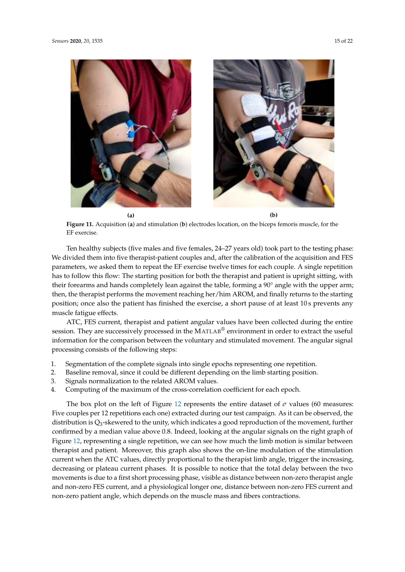

**Figure 11.** Acquisition (**a**) and stimulation (**b**) electrodes location, on the biceps femoris muscle, for the EF exercise.

Ten healthy subjects (five males and five females, 24–27 years old) took part to the testing phase: We divided them into five therapist-patient couples and, after the calibration of the acquisition and FES parameters, we asked them to repeat the EF exercise twelve times for each couple. A single repetition has to follow this flow: The starting position for both the therapist and patient is upright sitting, with their forearms and hands completely lean against the table, forming a 90° angle with the upper arm; then, the therapist performs the movement reaching her/him AROM, and finally returns to the starting position; once also the patient has finished the exercise, a short pause of at least 10 s prevents any muscle fatigue effects.

ATC, FES current, therapist and patient angular values have been collected during the entire session. They are successively processed in the MATLAB<sup>®</sup> environment in order to extract the useful information for the comparison between the voluntary and stimulated movement. The angular signal processing consists of the following steps:

- 1. Segmentation of the complete signals into single epochs representing one repetition.
- 2. Baseline removal, since it could be different depending on the limb starting position.
- 3. Signals normalization to the related AROM values.
- 4. Computing of the maximum of the cross-correlation coefficient for each epoch.

The box plot on the left of Figure 12 represents the entire dataset of  $\sigma$  values (60 measures: Five couples per 12 repetitions each one) extracted during our test campaign. As it can be observed, the distribution is  $Q_3$ -skewered to the unity, which indicates a good reproduction of the movement, further confirmed by a median value above 0.8. Indeed, looking at the angular signals on the right graph of Figure 12, representing a single repetition, we can see how much the limb motion is similar between therapist and patient. Moreover, this graph also shows the on-line modulation of the stimulation current when the ATC values, directly proportional to the therapist limb angle, trigger the increasing, decreasing or plateau current phases. It is possible to notice that the total delay between the two movements is due to a first short processing phase, visible as distance between non-zero therapist angle and non-zero FES current, and a physiological longer one, distance between non-zero FES current and non-zero patient angle, which depends on the muscle mass and fibers contractions.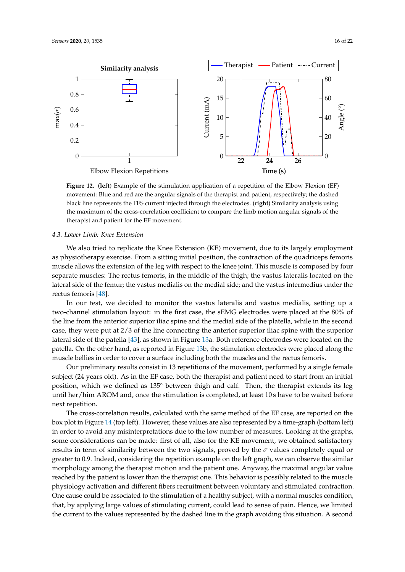

**Figure 12.** (**left**) Example of the stimulation application of a repetition of the Elbow Flexion (EF) movement: Blue and red are the angular signals of the therapist and patient, respectively; the dashed black line represents the FES current injected through the electrodes. (**right**) Similarity analysis using the maximum of the cross-correlation coefficient to compare the limb motion angular signals of the therapist and patient for the EF movement.

### *4.3. Lower Limb: Knee Extension*

We also tried to replicate the Knee Extension (KE) movement, due to its largely employment as physiotherapy exercise. From a sitting initial position, the contraction of the quadriceps femoris muscle allows the extension of the leg with respect to the knee joint. This muscle is composed by four separate muscles: The rectus femoris, in the middle of the thigh; the vastus lateralis located on the lateral side of the femur; the vastus medialis on the medial side; and the vastus intermedius under the rectus femoris [48].

In our test, we decided to monitor the vastus lateralis and vastus medialis, setting up a two-channel stimulation layout: in the first case, the sEMG electrodes were placed at the 80% of the line from the anterior superior iliac spine and the medial side of the platella, while in the second case, they were put at 2/3 of the line connecting the anterior superior iliac spine with the superior lateral side of the patella [43], as shown in Figure 13a. Both reference electrodes were located on the patella. On the other hand, as reported in Figure 13b, the stimulation electrodes were placed along the muscle bellies in order to cover a surface including both the muscles and the rectus femoris.

Our preliminary results consist in 13 repetitions of the movement, performed by a single female subject (24 years old). As in the EF case, both the therapist and patient need to start from an initial position, which we defined as 135° between thigh and calf. Then, the therapist extends its leg until her/him AROM and, once the stimulation is completed, at least 10 s have to be waited before next repetition.

The cross-correlation results, calculated with the same method of the EF case, are reported on the box plot in Figure 14 (top left). However, these values are also represented by a time-graph (bottom left) in order to avoid any misinterpretations due to the low number of measures. Looking at the graphs, some considerations can be made: first of all, also for the KE movement, we obtained satisfactory results in term of similarity between the two signals, proved by the  $\sigma$  values completely equal or greater to 0.9. Indeed, considering the repetition example on the left graph, we can observe the similar morphology among the therapist motion and the patient one. Anyway, the maximal angular value reached by the patient is lower than the therapist one. This behavior is possibly related to the muscle physiology activation and different fibers recruitment between voluntary and stimulated contraction. One cause could be associated to the stimulation of a healthy subject, with a normal muscles condition, that, by applying large values of stimulating current, could lead to sense of pain. Hence, we limited the current to the values represented by the dashed line in the graph avoiding this situation. A second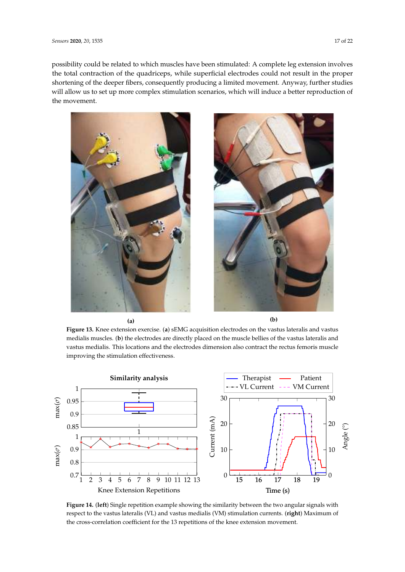possibility could be related to which muscles have been stimulated: A complete leg extension involves the total contraction of the quadriceps, while superficial electrodes could not result in the proper shortening of the deeper fibers, consequently producing a limited movement. Anyway, further studies will allow us to set up more complex stimulation scenarios, which will induce a better reproduction of the movement.



**(a) (b)**

**Figure 13.** Knee extension exercise. (**a**) sEMG acquisition electrodes on the vastus lateralis and vastus medialis muscles. (**b**) the electrodes are directly placed on the muscle bellies of the vastus lateralis and vastus medialis. This locations and the electrodes dimension also contract the rectus femoris muscle improving the stimulation effectiveness.



**Figure 14.** (**left**) Single repetition example showing the similarity between the two angular signals with respect to the vastus lateralis (VL) and vastus medialis (VM) stimulation currents. (**right**) Maximum of the cross-correlation coefficient for the 13 repetitions of the knee extension movement.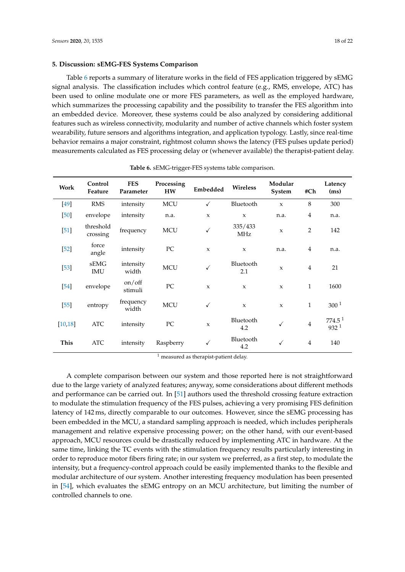#### **5. Discussion: sEMG-FES Systems Comparison**

Table 6 reports a summary of literature works in the field of FES application triggered by sEMG signal analysis. The classification includes which control feature (e.g., RMS, envelope, ATC) has been used to online modulate one or more FES parameters, as well as the employed hardware, which summarizes the processing capability and the possibility to transfer the FES algorithm into an embedded device. Moreover, these systems could be also analyzed by considering additional features such as wireless connectivity, modularity and number of active channels which foster system wearability, future sensors and algorithms integration, and application typology. Lastly, since real-time behavior remains a major constraint, rightmost column shows the latency (FES pulses update period) measurements calculated as FES processing delay or (whenever available) the therapist-patient delay.

| Work        | Control<br>Feature    | <b>FES</b><br>Parameter | Processing<br><b>HW</b> | Embedded                  | Wireless              | Modular<br>System | #Ch            | Latency<br>(ms)                        |
|-------------|-----------------------|-------------------------|-------------------------|---------------------------|-----------------------|-------------------|----------------|----------------------------------------|
| [49]        | <b>RMS</b>            | intensity               | <b>MCU</b>              | $\checkmark$              | Bluetooth             | $\mathbf{x}$      | 8              | 300                                    |
| [50]        | envelope              | intensity               | n.a.                    | $\mathbf{x}$              | $\mathbf{x}$          | n.a.              | $\overline{4}$ | n.a.                                   |
| $[51]$      | threshold<br>crossing | frequency               | MCU                     | $\checkmark$              | 335/433<br><b>MHz</b> | $\mathbf{x}$      | 2              | 142                                    |
| $[52]$      | force<br>angle        | intensity               | PC                      | $\boldsymbol{\mathsf{X}}$ | $\mathbf{x}$          | n.a.              | $\overline{4}$ | n.a.                                   |
| $[53]$      | sEMG<br>IMU           | intensity<br>width      | <b>MCU</b>              | $\checkmark$              | Bluetooth<br>2.1      | $\mathbf{x}$      | $\overline{4}$ | 21                                     |
| $[54]$      | envelope              | $on/$ off<br>stimuli    | PC                      | $\mathbf{x}$              | $\mathbf{x}$          | $\mathbf{x}$      | $\mathbf{1}$   | 1600                                   |
| $[55]$      | entropy               | frequency<br>width      | <b>MCU</b>              | $\checkmark$              | $\mathbf{x}$          | $\mathbf{x}$      | $\mathbf{1}$   | 300 <sup>1</sup>                       |
| [10, 18]    | <b>ATC</b>            | intensity               | PC                      | $\mathsf X$               | Bluetooth<br>4.2      | $\checkmark$      | $\overline{4}$ | 774.5 <sup>1</sup><br>932 <sup>1</sup> |
| <b>This</b> | ATC                   | intensity               | Raspberry               | $\checkmark$              | Bluetooth<br>4.2      | $\checkmark$      | $\overline{4}$ | 140                                    |

**Table 6.** sEMG-trigger-FES systems table comparison.

 $1$  measured as therapist-patient delay.

A complete comparison between our system and those reported here is not straightforward due to the large variety of analyzed features; anyway, some considerations about different methods and performance can be carried out. In [51] authors used the threshold crossing feature extraction to modulate the stimulation frequency of the FES pulses, achieving a very promising FES definition latency of 142 ms, directly comparable to our outcomes. However, since the sEMG processing has been embedded in the MCU, a standard sampling approach is needed, which includes peripherals management and relative expensive processing power; on the other hand, with our event-based approach, MCU resources could be drastically reduced by implementing ATC in hardware. At the same time, linking the TC events with the stimulation frequency results particularly interesting in order to reproduce motor fibers firing rate; in our system we preferred, as a first step, to modulate the intensity, but a frequency-control approach could be easily implemented thanks to the flexible and modular architecture of our system. Another interesting frequency modulation has been presented in [54], which evaluates the sEMG entropy on an MCU architecture, but limiting the number of controlled channels to one.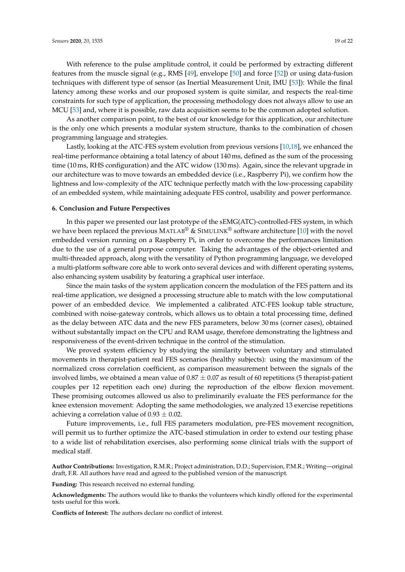With reference to the pulse amplitude control, it could be performed by extracting different features from the muscle signal (e.g., RMS [49], envelope [50] and force [52]) or using data-fusion techniques with different type of sensor (as Inertial Measurement Unit, IMU [53]): While the final latency among these works and our proposed system is quite similar, and respects the real-time constraints for such type of application, the processing methodology does not always allow to use an MCU [53] and, where it is possible, raw data acquisition seems to be the common adopted solution.

As another comparison point, to the best of our knowledge for this application, our architecture is the only one which presents a modular system structure, thanks to the combination of chosen programming language and strategies.

Lastly, looking at the ATC-FES system evolution from previous versions [10,18], we enhanced the real-time performance obtaining a total latency of about 140 ms, defined as the sum of the processing time (10 ms, RHS configuration) and the ATC widow (130 ms). Again, since the relevant upgrade in our architecture was to move towards an embedded device (i.e., Raspberry Pi), we confirm how the lightness and low-complexity of the ATC technique perfectly match with the low-processing capability of an embedded system, while maintaining adequate FES control, usability and power performance.

#### **6. Conclusion and Future Perspectives**

In this paper we presented our last prototype of the sEMG(ATC)-controlled-FES system, in which we have been replaced the previous MATLAB<sup>®</sup> & SIMULINK<sup>®</sup> software architecture [10] with the novel embedded version running on a Raspberry Pi, in order to overcome the performances limitation due to the use of a general purpose computer. Taking the advantages of the object-oriented and multi-threaded approach, along with the versatility of Python programming language, we developed a multi-platform software core able to work onto several devices and with different operating systems, also enhancing system usability by featuring a graphical user interface.

Since the main tasks of the system application concern the modulation of the FES pattern and its real-time application, we designed a processing structure able to match with the low computational power of an embedded device. We implemented a calibrated ATC-FES lookup table structure, combined with noise-gateway controls, which allows us to obtain a total processing time, defined as the delay between ATC data and the new FES parameters, below 30 ms (corner cases), obtained without substantally impact on the CPU and RAM usage, therefore demonstrating the lightness and responsiveness of the event-driven technique in the control of the stimulation.

We proved system efficiency by studying the similarity between voluntary and stimulated movements in therapist-patient real FES scenarios (healthy subjects): using the maximum of the normalized cross correlation coefficient, as comparison measurement between the signals of the involved limbs, we obtained a mean value of  $0.87 \pm 0.07$  as result of 60 repetitions (5 therapist-patient couples per 12 repetition each one) during the reproduction of the elbow flexion movement. These promising outcomes allowed us also to preliminarily evaluate the FES performance for the knee extension movement: Adopting the same methodologies, we analyzed 13 exercise repetitions achieving a correlation value of  $0.93 \pm 0.02$ .

Future improvements, i.e., full FES parameters modulation, pre-FES movement recognition, will permit us to further optimize the ATC-based stimulation in order to extend our testing phase to a wide list of rehabilitation exercises, also performing some clinical trials with the support of medical staff.

**Author Contributions:** Investigation, R.M.R.; Project administration, D.D.; Supervision, P.M.R.; Writing—original draft, F.R. All authors have read and agreed to the published version of the manuscript.

**Funding:** This research received no external funding.

**Acknowledgments:** The authors would like to thanks the volunteers which kindly offered for the experimental tests useful for this work.

**Conflicts of Interest:** The authors declare no conflict of interest.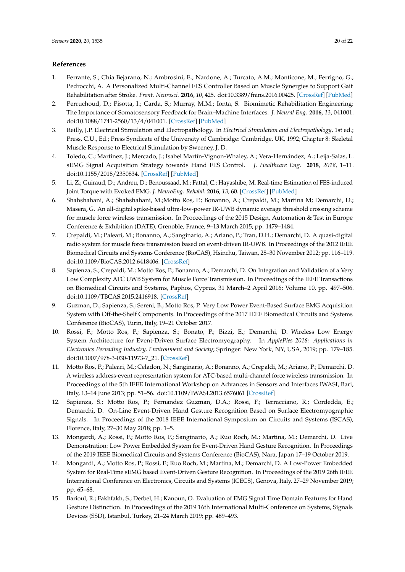#### **References**

- 1. Ferrante, S.; Chia Bejarano, N.; Ambrosini, E.; Nardone, A.; Turcato, A.M.; Monticone, M.; Ferrigno, G.; Pedrocchi, A. A Personalized Multi-Channel FES Controller Based on Muscle Synergies to Support Gait Rehabilitation after Stroke. *Front. Neurosci.* **2016**, *10*, 425. doi:10.3389/fnins.2016.00425. [CrossRef] [PubMed]
- 2. Perruchoud, D.; Pisotta, I.; Carda, S.; Murray, M.M.; Ionta, S. Biomimetic Rehabilitation Engineering: The Importance of Somatosensory Feedback for Brain–Machine Interfaces. *J. Neural Eng.* **2016**, *13*, 041001. doi:10.1088/1741-2560/13/4/041001. [CrossRef] [PubMed]
- 3. Reilly, J.P. Electrical Stimulation and Electropathology. In *Electrical Stimulation and Electropathology*, 1st ed.; Press, C.U., Ed.; Press Syndicate of the University of Cambridge: Cambridge, UK, 1992; Chapter 8: Skeletal Muscle Response to Electrical Stimulation by Sweeney, J. D.
- 4. Toledo, C.; Martinez, J.; Mercado, J.; Isabel Martín-Vignon-Whaley, A.; Vera-Hernández, A.; Leija-Salas, L. sEMG Signal Acquisition Strategy towards Hand FES Control. *J. Healthcare Eng.* **2018**, *2018*, 1–11. doi:10.1155/2018/2350834. [CrossRef] [PubMed]
- 5. Li, Z.; Guiraud, D.; Andreu, D.; Benoussaad, M.; Fattal, C.; Hayashibe, M. Real-time Estimation of FES-induced Joint Torque with Evoked EMG. *J. NeuroEng. Rehabil.* **2016**, *13*, 60. [CrossRef] [PubMed]
- 6. Shahshahani, A.; Shahshahani, M.;Motto Ros, P.; Bonanno, A.; Crepaldi, M.; Martina M; Demarchi, D.; Masera, G. An all-digital spike-based ultra-low-power IR-UWB dynamic average threshold crossing scheme for muscle force wireless transmission. In Proceedings of the 2015 Design, Automation & Test in Europe Conference & Exhibition (DATE), Grenoble, France, 9–13 March 2015; pp. 1479–1484.
- 7. Crepaldi, M.; Paleari, M.; Bonanno, A.; Sanginario, A.; Ariano, P.; Tran, D.H.; Demarchi, D. A quasi-digital radio system for muscle force transmission based on event-driven IR-UWB. In Proceedings of the 2012 IEEE Biomedical Circuits and Systems Conference (BioCAS), Hsinchu, Taiwan, 28–30 November 2012; pp. 116–119. doi:10.1109/BioCAS.2012.6418406. [CrossRef]
- 8. Sapienza, S.; Crepaldi, M.; Motto Ros, P.; Bonanno, A.; Demarchi, D. On Integration and Validation of a Very Low Complexity ATC UWB System for Muscle Force Transmission. In Proceedings of the IEEE Transactions on Biomedical Circuits and Systems, Paphos, Cyprus, 31 March–2 April 2016; Volume 10, pp. 497–506. doi:10.1109/TBCAS.2015.2416918. [CrossRef]
- 9. Guzman, D.; Sapienza, S.; Sereni, B.; Motto Ros, P. Very Low Power Event-Based Surface EMG Acquisition System with Off-the-Shelf Components. In Proceedings of the 2017 IEEE Biomedical Circuits and Systems Conference (BioCAS), Turin, Italy, 19–21 October 2017.
- 10. Rossi, F.; Motto Ros, P.; Sapienza, S.; Bonato, P.; Bizzi, E.; Demarchi, D. Wireless Low Energy System Architecture for Event-Driven Surface Electromyography. In *ApplePies 2018: Applications in Electronics Pervading Industry, Environment and Society*; Springer: New York, NY, USA, 2019; pp. 179–185. doi:10.1007/978-3-030-11973-7\_21. [CrossRef]
- 11. Motto Ros, P.; Paleari, M.; Celadon, N.; Sanginario, A.; Bonanno, A.; Crepaldi, M.; Ariano, P.; Demarchi, D. A wireless address-event representation system for ATC-based multi-channel force wireless transmission. In Proceedings of the 5th IEEE International Workshop on Advances in Sensors and Interfaces IWASI, Bari, Italy, 13–14 June 2013; pp. 51–56. doi:10.1109/IWASI.2013.6576061 [CrossRef]
- 12. Sapienza, S.; Motto Ros, P.; Fernandez Guzman, D.A.; Rossi, F.; Terracciano, R.; Cordedda, E.; Demarchi, D. On-Line Event-Driven Hand Gesture Recognition Based on Surface Electromyographic Signals. In Proceedings of the 2018 IEEE International Symposium on Circuits and Systems (ISCAS), Florence, Italy, 27–30 May 2018; pp. 1–5.
- 13. Mongardi, A.; Rossi, F.; Motto Ros, P.; Sanginario, A.; Ruo Roch, M.; Martina, M.; Demarchi, D. Live Demonstration: Low Power Embedded System for Event-Driven Hand Gesture Recognition. In Proceedings of the 2019 IEEE Biomedical Circuits and Systems Conference (BioCAS), Nara, Japan 17–19 October 2019.
- 14. Mongardi, A.; Motto Ros, P.; Rossi, F.; Ruo Roch, M.; Martina, M.; Demarchi, D. A Low-Power Embedded System for Real-Time sEMG based Event-Driven Gesture Recognition. In Proceedings of the 2019 26th IEEE International Conference on Electronics, Circuits and Systems (ICECS), Genova, Italy, 27–29 November 2019; pp. 65–68.
- 15. Barioul, R.; Fakhfakh, S.; Derbel, H.; Kanoun, O. Evaluation of EMG Signal Time Domain Features for Hand Gesture Distinction. In Proceedings of the 2019 16th International Multi-Conference on Systems, Signals Devices (SSD), Istanbul, Turkey, 21–24 March 2019; pp. 489–493.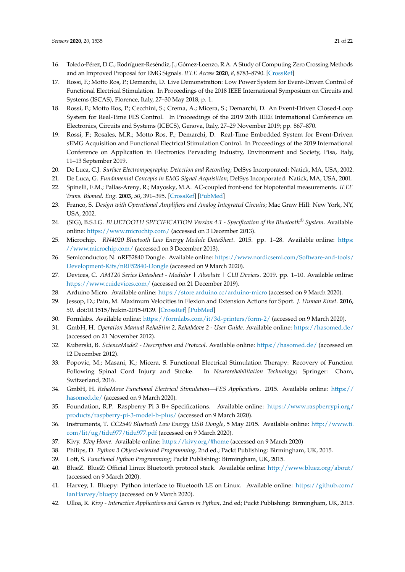- 16. Toledo-Pérez, D.C.; Rodríguez-Reséndiz, J.; Gómez-Loenzo, R.A. A Study of Computing Zero Crossing Methods and an Improved Proposal for EMG Signals. *IEEE Access* **2020**, *8*, 8783–8790. [CrossRef]
- 17. Rossi, F.; Motto Ros, P.; Demarchi, D. Live Demonstration: Low Power System for Event-Driven Control of Functional Electrical Stimulation. In Proceedings of the 2018 IEEE International Symposium on Circuits and Systems (ISCAS), Florence, Italy, 27–30 May 2018; p. 1.
- 18. Rossi, F.; Motto Ros, P.; Cecchini, S.; Crema, A.; Micera, S.; Demarchi, D. An Event-Driven Closed-Loop System for Real-Time FES Control. In Proceedings of the 2019 26th IEEE International Conference on Electronics, Circuits and Systems (ICECS), Genova, Italy, 27–29 November 2019; pp. 867–870.
- 19. Rossi, F.; Rosales, M.R.; Motto Ros, P.; Demarchi, D. Real-Time Embedded System for Event-Driven sEMG Acquisition and Functional Electrical Stimulation Control. In Proceedings of the 2019 International Conference on Application in Electronics Pervading Industry, Environment and Society, Pisa, Italy, 11–13 September 2019.
- 20. De Luca, C.J. *Surface Electromyography: Detection and Recording*; DelSys Incorporated: Natick, MA, USA, 2002.
- 21. De Luca, G. *Fundamental Concepts in EMG Signal Acquisition*; DelSys Incorporated: Natick, MA, USA, 2001.
- 22. Spinelli, E.M.; Pallas-Areny, R.; Mayosky, M.A. AC-coupled front-end for biopotential measurements. *IEEE Trans. Biomed. Eng.* **2003**, *50*, 391–395. [CrossRef] [PubMed]
- 23. Franco, S. *Design with Operational Amplifiers and Analog Integrated Circuits; Mac Graw Hill: New York, NY*, USA, 2002.
- 24. (SIG), B.S.I.G. *BLUETOOTH SPECIFICATION Version 4.1 Specification of the Bluetooth® System*. Available online: https://www.microchip.com/ (accessed on 3 December 2013).
- 25. Microchip. *RN4020 Bluetooth Low Energy Module DataSheet*. 2015. pp. 1–28. Available online: https: //www.microchip.com/ (accessed on 3 December 2013).
- 26. Semiconductor, N. nRF52840 Dongle. Available online: https://www.nordicsemi.com/Software-and-tools/ Development-Kits/nRF52840-Dongle (accessed on 9 March 2020).
- 27. Devices, C. *AMT20 Series Datasheet Modular | Absolute | CUI Devices*. 2019. pp. 1–10. Available online: https://www.cuidevices.com/ (accessed on 21 December 2019).
- 28. Arduino Micro. Available online: https://store.arduino.cc/arduino-micro (accessed on 9 March 2020).
- 29. Jessop, D.; Pain, M. Maximum Velocities in Flexion and Extension Actions for Sport. *J. Human Kinet.* **2016**, *50*. doi:10.1515/hukin-2015-0139. [CrossRef] [PubMed]
- 30. Formlabs. Available online: https://formlabs.com/it/3d-printers/form-2/ (accessed on 9 March 2020).
- 31. GmbH, H. *Operation Manual RehaStim 2, RehaMove 2 User Guide*. Available online: https://hasomed.de/ (accessed on 21 November 2012).
- 32. Kuberski, B. *ScienceMode2 Description and Protocol*. Available online: https://hasomed.de/ (accessed on 12 December 2012).
- 33. Popovic, M.; Masani, K.; Micera, S. Functional Electrical Stimulation Therapy: Recovery of Function Following Spinal Cord Injury and Stroke. In *Neurorehabilitation Technology*; Springer: Cham, Switzerland, 2016.
- 34. GmbH, H. *RehaMove Functional Electrical Stimulation—FES Applications*. 2015. Available online: https:// hasomed.de/ (accessed on 9 March 2020).
- 35. Foundation, R.P. Raspberry Pi 3 B+ Specifications. Available online: https://www.raspberrypi.org/ products/raspberry-pi-3-model-b-plus/ (accessed on 9 March 2020).
- 36. Instruments, T. *CC2540 Bluetooth Low Energy USB Dongle*, 5 May 2015. Available online: http://www.ti. com/lit/ug/tidu977/tidu977.pdf (accessed on 9 March 2020).
- 37. Kivy. *Kivy Home*. Available online: https://kivy.org/#home (accessed on 9 March 2020)
- 38. Philips, D. *Python 3 Object-oriented Programming*, 2nd ed.; Packt Publishing: Birmingham, UK, 2015.
- 39. Lott, S. *Functional Python Programming*; Packt Publishing: Birmingham, UK, 2015.
- 40. BlueZ. BlueZ: Official Linux Bluetooth protocol stack. Available online: http://www.bluez.org/about/ (accessed on 9 March 2020).
- 41. Harvey, I. Bluepy: Python interface to Bluetooth LE on Linux. Available online: https://github.com/ IanHarvey/bluepy (accessed on 9 March 2020).
- 42. Ulloa, R. *Kivy Interactive Applications and Games in Python*, 2nd ed; Puckt Publishing: Birmingham, UK, 2015.